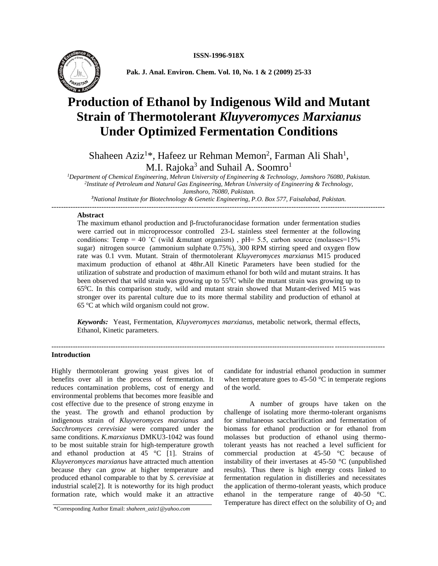

**Pak. J. Anal. Environ. Chem. Vol. 10, No. 1 & 2 (2009) 25-33**

# **Production of Ethanol by Indigenous Wild and Mutant Strain of Thermotolerant** *Kluyveromyces Marxianus* **Under Optimized Fermentation Conditions**

Shaheen Aziz<sup>1\*</sup>, Hafeez ur Rehman Memon<sup>2</sup>, Farman Ali Shah<sup>1</sup>, M.I. Rajoka<sup>3</sup> and Suhail A. Soomro<sup>1</sup>

*<sup>1</sup>Department of Chemical Engineering, Mehran University of Engineering & Technology, Jamshoro 76080, Pakistan. 2 Institute of Petroleum and Natural Gas Engineering, Mehran University of Engineering & Technology, Jamshoro, 76080, Pakistan.*

*<sup>3</sup>National Institute for Biotechnology & Genetic Engineering, P.O. Box 577, Faisalabad, Pakistan.*

*--------------------------------------------------------------------------------------------------------------------------------------------*

## **Abstract**

The maximum ethanol production and β-fructofuranocidase formation under fermentation studies were carried out in microprocessor controlled 23-L stainless steel fermenter at the following conditions: Temp = 40 °C (wild &mutant organism),  $pH = 5.5$ , carbon source (molasses=15% sugar) nitrogen source (ammonium sulphate 0.75%), 300 RPM stirring speed and oxygen flow rate was 0.1 vvm. Mutant. Strain of thermotolerant *Kluyveromyces marxianus* M15 produced maximum production of ethanol at 48hr.All Kinetic Parameters have been studied for the utilization of substrate and production of maximum ethanol for both wild and mutant strains. It has been observed that wild strain was growing up to  $55^{\circ}$ C while the mutant strain was growing up to  $65\textdegree$ C. In this comparison study, wild and mutant strain showed that Mutant-derived M15 was stronger over its parental culture due to its more thermal stability and production of ethanol at  $65^{\circ}$ C at which wild organism could not grow.

*Keywords:* Yeast, Fermentation, *Kluyveromyces marxianus,* metabolic network, thermal effects, Ethanol, Kinetic parameters.

--------------------------------------------------------------------------------------------------------------------------------------------

### **Introduction**

Highly thermotolerant growing yeast gives lot of benefits over all in the process of fermentation. It reduces contamination problems, cost of energy and environmental problems that becomes more feasible and cost effective due to the presence of strong enzyme in the yeast. The growth and ethanol production by indigenous strain of *Kluyveromyces marxianus* and *Sacchromyces cerevisiae* were compared under the same conditions. *K.marxianus* DMKU3-1042 was found to be most suitable strain for high-temperature growth and ethanol production at 45 °C [1]. Strains of *Kluyveromyces marxianus* have attracted much attention because they can grow at higher temperature and produced ethanol comparable to that by *S. cerevisiae* at industrial scale[2]. It is noteworthy for its high product formation rate, which would make it an attractive candidate for industrial ethanol production in summer when temperature goes to  $45{\text -}50$  °C in temperate regions of the world.

A number of groups have taken on the challenge of isolating more thermo-tolerant organisms for simultaneous saccharification and fermentation of biomass for ethanol production or for ethanol from molasses but production of ethanol using thermotolerant yeasts has not reached a level sufficient for commercial production at 45-50 °C because of instability of their invertases at 45-50 °C (unpublished results). Thus there is high energy costs linked to fermentation regulation in distilleries and necessitates the application of thermo-tolerant yeasts, which produce ethanol in the temperature range of 40-50 °C. Temperature has direct effect on the solubility of  $O_2$  and

<sup>\*</sup>Corresponding Author Email: *shaheen\_aziz1@yahoo.com*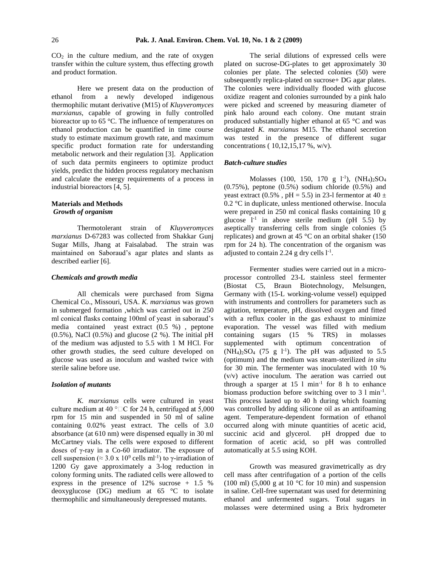$CO<sub>2</sub>$  in the culture medium, and the rate of oxygen transfer within the culture system, thus effecting growth and product formation.

 Here we present data on the production of ethanol from a newly developed indigenous thermophilic mutant derivative (M15) of *Kluyveromyces marxianus*, capable of growing in fully controlled bioreactor up to 65 °C. The influence of temperatures on ethanol production can be quantified in time course study to estimate maximum growth rate, and maximum specific product formation rate for understanding metabolic network and their regulation [3]. Application of such data permits engineers to optimize product yields, predict the hidden process regulatory mechanism and calculate the energy requirements of a process in industrial bioreactors [4, 5].

## **Materials and Methods**  *Growth of organism*

Thermotolerant strain of *Kluyveromyces marxianus* D-67283 was collected from Shakkar Gunj Sugar Mills, Jhang at Faisalabad. The strain was maintained on Saboraud's agar plates and slants as described earlier [6].

### *Chemicals and growth media*

All chemicals were purchased from Sigma Chemical Co., Missouri, USA. *K. marxianus* was grown in submerged formation ,which was carried out in 250 ml conical flasks containg 100ml of yeast in saboraud's media contained yeast extract (0.5 %) , peptone  $(0.5\%)$ , NaCl  $(0.5\%)$  and glucose  $(2\%)$ . The initial pH of the medium was adjusted to 5.5 with 1 M HCl. For other growth studies, the seed culture developed on glucose was used as inoculum and washed twice with sterile saline before use.

### *Isolation of mutants*

*K. marxianus* cells were cultured in yeast culture medium at 40 °  $\Box$  C for 24 h, centrifuged at 5,000 rpm for 15 min and suspended in 50 ml of saline containing 0.02% yeast extract. The cells of 3.0 absorbance (at 610 nm) were dispensed equally in 30 ml McCartney vials. The cells were exposed to different doses of γ-ray in a Co-60 irradiator. The exposure of cell suspension ( $\approx 3.0 \times 10^9$  cells ml<sup>-1</sup>) to  $\gamma$ -irradiation of 1200 Gy gave approximately a 3-log reduction in colony forming units. The radiated cells were allowed to express in the presence of 12% sucrose + 1.5 % deoxyglucose (DG) medium at 65 °C to isolate thermophilic and simultaneously derepressed mutants.

The serial dilutions of expressed cells were plated on sucrose-DG-plates to get approximately 30 colonies per plate. The selected colonies (50) were subsequently replica-plated on sucrose+ DG agar plates. The colonies were individually flooded with glucose oxidize reagent and colonies surrounded by a pink halo were picked and screened by measuring diameter of pink halo around each colony. One mutant strain produced substantially higher ethanol at 65 °C and was designated *K. marxianus* M15. The ethanol secretion was tested in the presence of different sugar concentrations ( 10,12,15,17 %, w/v).

## *Batch-culture studies*

Molasses (100, 150, 170 g  $1^{-1}$ ), (NH<sub>4</sub>)<sub>2</sub>SO<sub>4</sub>  $(0.75\%)$ , peptone  $(0.5\%)$  sodium chloride  $(0.5\%)$  and yeast extract (0.5%, pH = 5.5) in 23-l fermentor at 40  $\pm$ 0.2 °C in duplicate, unless mentioned otherwise. Inocula were prepared in 250 ml conical flasks containing 10 g glucose  $1^{-1}$  in above sterile medium (pH 5.5) by aseptically transferring cells from single colonies (5 replicates) and grown at 45 °C on an orbital shaker (150 rpm for 24 h). The concentration of the organism was adjusted to contain 2.24 g dry cells  $1<sup>-1</sup>$ .

Fermenter studies were carried out in a microprocessor controlled 23-L stainless steel fermenter (Biostat C5, Braun Biotechnology, Melsungen, Germany with (15-L working-volume vessel) equipped with instruments and controllers for parameters such as agitation, temperature, pH, dissolved oxygen and fitted with a reflux cooler in the gas exhaust to minimize evaporation. The vessel was filled with medium containing sugars (15 % TRS) in molasses supplemented with optimum concentration of  $(NH_4)_2SO_4$  (75 g l<sup>-1</sup>). The pH was adjusted to 5.5 (optimum) and the medium was steam-sterilized *in situ*  for 30 min. The fermenter was inoculated with 10 % (v/v) active inoculum. The aeration was carried out through a sparger at  $15 \text{ l min}^{-1}$  for 8 h to enhance biomass production before switching over to 3 l min<sup>-1</sup>. This process lasted up to 40 h during which foaming was controlled by adding silicone oil as an antifoaming agent. Temperature-dependent formation of ethanol occurred along with minute quantities of acetic acid, succinic acid and glycerol. pH dropped due to formation of acetic acid, so pH was controlled automatically at 5.5 using KOH.

 Growth was measured gravimetrically as dry cell mass after centrifugation of a portion of the cells (100 ml) (5,000 g at 10  $^{\circ}$ C for 10 min) and suspension in saline. Cell-free supernatant was used for determining ethanol and unfermented sugars. Total sugars in molasses were determined using a Brix hydrometer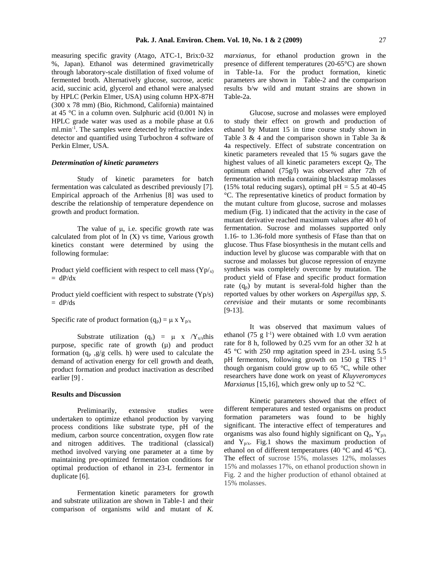measuring specific gravity (Atago, ATC-1, Brix:0-32 %, Japan). Ethanol was determined gravimetrically through laboratory-scale distillation of fixed volume of fermented broth. Alternatively glucose, sucrose, acetic acid, succinic acid, glycerol and ethanol were analysed by HPLC (Perkin Elmer, USA) using column HPX-87H (300 x 78 mm) (Bio, Richmond, California) maintained at 45 °C in a column oven. Sulphuric acid (0.001 N) in HPLC grade water was used as a mobile phase at 0.6 ml.min-1 . The samples were detected by refractive index detector and quantified using Turbochron 4 software of Perkin Elmer, USA.

## *Determination of kinetic parameters*

Study of kinetic parameters for batch fermentation was calculated as described previously [7]. Empirical approach of the Arrhenius [8] was used to describe the relationship of temperature dependence on growth and product formation.

The value of  $\mu$ , i.e. specific growth rate was calculated from plot of  $ln(X)$  vs time, Various growth kinetics constant were determined by using the following formulae:

Product yield coefficient with respect to cell mass  $(Yp/x)$  $= dP/dx$ 

Product yield coefficient with respect to substrate (Yp/s)  $= dP/ds$ 

Specific rate of product formation  $(q_p) = \mu x Y_{p/x}$ 

Substrate utilization  $(q_s) = \mu x / Y_{x/s}$ this purpose, specific rate of growth (µ) and product formation  $(q_p, g/g$  cells. h) were used to calculate the demand of activation energy for cell growth and death, product formation and product inactivation as described earlier [9] .

#### **Results and Discussion**

 Preliminarily, extensive studies were undertaken to optimize ethanol production by varying process conditions like substrate type, pH of the medium, carbon source concentration, oxygen flow rate and nitrogen additives. The traditional (classical) method involved varying one parameter at a time by maintaining pre-optimized fermentation conditions for optimal production of ethanol in 23-L fermentor in duplicate [6].

 Fermentation kinetic parameters for growth and substrate utilization are shown in Table-1 and their comparison of organisms wild and mutant of *K.*  *marxianus*, for ethanol production grown in the presence of different temperatures (20-65°C) are shown in Table-1a. For the product formation, kinetic parameters are shown in Table-2 and the comparison results b/w wild and mutant strains are shown in Table-2a.

 Glucose, sucrose and molasses were employed to study their effect on growth and production of ethanol by Mutant 15 in time course study shown in Table 3 & 4 and the comparison shown in Table 3a & 4a respectively. Effect of substrate concentration on kinetic parameters revealed that 15 % sugars gave the highest values of all kinetic parameters except  $O<sub>P</sub>$ . The optimum ethanol (75g/l) was observed after 72h of fermentation with media containing blackstrap molasses (15% total reducing sugars), optimal  $pH = 5.5$  at 40-45 °C. The representative kinetics of product formation by the mutant culture from glucose, sucrose and molasses medium (Fig. 1) indicated that the activity in the case of mutant derivative reached maximum values after 40 h of fermentation. Sucrose and molasses supported only 1.16- to 1.36-fold more synthesis of Ffase than that on glucose. Thus Ffase biosynthesis in the mutant cells and induction level by glucose was comparable with that on sucrose and molasses but glucose repression of enzyme synthesis was completely overcome by mutation. The product yield of Ffase and specific product formation rate  $(q_p)$  by mutant is several-fold higher than the reported values by other workers on *Aspergillus spp*, *S. cerevisiae* and their mutants or some recombinants [9-13].

It was observed that maximum values of ethanol (75 g  $1^{-1}$ ) were obtained with 1.0 vvm aeration rate for 8 h, followed by 0.25 vvm for an other 32 h at 45 °C with 250 rmp agitation speed in 23-L using 5.5 pH fermentors, following growth on 150 g TRS  $1^{-1}$ though organism could grow up to  $65^{\circ}$ C, while other researchers have done work on yeast of *Kluyveromyces Marxianus* [15,16], which grew only up to 52 °C.

 Kinetic parameters showed that the effect of different temperatures and tested organisms on product formation parameters was found to be highly significant. The interactive effect of temperatures and organisms was also found highly significant on  $Q_p$ ,  $Y_{p/s}$ and  $Y_{p/x}$ . Fig.1 shows the maximum production of ethanol on of different temperatures (40 °C and 45 °C). The effect of sucrose 15%, molasses 12%, molasses 15% and molasses 17%, on ethanol production shown in Fig. 2 and the higher production of ethanol obtained at 15% molasses.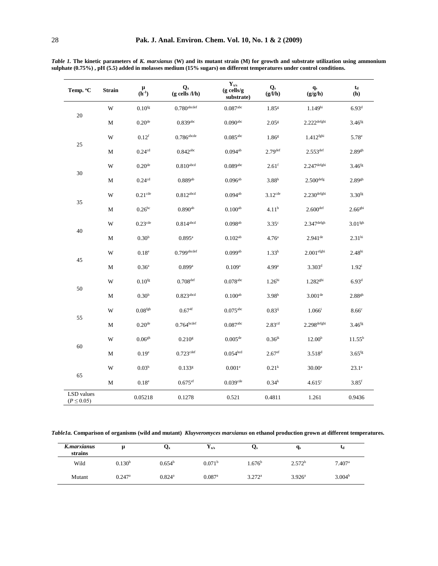| Temp. °C                 | <b>Strain</b> | μ<br>$(h^{-1})$       | $Q_{x}$<br>$(g$ cells $/l/h)$ | $\mathbf{Y}_{\mathbf{x}/\mathbf{s}}$<br>(g cells/g<br>substrate) | $\mathbf{Q}_s$<br>(g/l/h) | $\mathbf{q}_\mathrm{s}$<br>(g/g/h) | $\mathbf{t}_\mathrm{d}$<br>(h) |
|--------------------------|---------------|-----------------------|-------------------------------|------------------------------------------------------------------|---------------------------|------------------------------------|--------------------------------|
|                          | W             | $0.10$ <sup>fg</sup>  | $0.780$ abcdef                | $0.087$ <sup>abc</sup>                                           | $1.85$ <sup>g</sup>       | 1.149 <sup>hi</sup>                | 6.93 <sup>d</sup>              |
| $20\,$                   | М             | 0.20 <sup>de</sup>    | $0.839$ <sup>abc</sup>        | $0.090$ <sup>abc</sup>                                           | 2.05 <sup>g</sup>         | $2.222$ defghi                     | 3.46 <sup>fg</sup>             |
|                          | W             | $0.12^{\rm f}$        | $0.786$ <sup>abcde</sup>      | $0.085$ <sup>abc</sup>                                           | 1.86 <sup>g</sup>         | $1.412$ <sup>fghi</sup>            | 5.78 <sup>e</sup>              |
| 25                       | М             | 0.24 <sup>cd</sup>    | $0.842$ <sup>abc</sup>        | $0.094^{ab}$                                                     | $2.79$ <sup>def</sup>     | $2.553$ def                        | $2.89$ gh                      |
|                          | W             | 0.20 <sup>de</sup>    | $0.810$ abcd                  | $0.089$ <sup>abc</sup>                                           | $2.61$ <sup>f</sup>       | $2.247$ defghi                     | $3.46$ <sup>fg</sup>           |
| 30                       | М             | 0.24 <sup>cd</sup>    | $0.889$ <sup>ab</sup>         | $0.096^{\rm ab}$                                                 | $3.88^{b}$                | $2.500$ defg                       | $2.89$ <sup>gh</sup>           |
| 35                       | W             | $0.21$ <sup>cde</sup> | $0.812$ <sup>abcd</sup>       | $0.094^{ab}$                                                     | $3.12$ <sup>cde</sup>     | $2.230$ defghi                     | 3.30 <sup>fg</sup>             |
|                          | M             | $0.26^{bc}$           | $0.890$ <sup>ab</sup>         | $0.100^{ab}$                                                     | 4.11 <sup>b</sup>         | $2.600$ def                        | 2.66 <sup>ghi</sup>            |
| $40\,$                   | W             | $0.23$ <sup>cde</sup> | $0.814^{\rm abcd}$            | $0.098^{ab}$                                                     | 3.35 <sup>c</sup>         | $2.347$ defgh                      | 3.01 <sup>fgh</sup>            |
|                          | $\mathbf M$   | 0.30 <sup>b</sup>     | $0.895^{\rm a}$               | $0.102^{ab}$                                                     | 4.76 <sup>a</sup>         | $2.941$ <sup>de</sup>              | 2.31 <sup>hi</sup>             |
| 45                       | W             | 0.18 <sup>e</sup>     | $0.799$ abcdef                | $0.099^{ab}$                                                     | 1.33 <sup>h</sup>         | $2.001$ efghi                      | 2.48 <sup>hi</sup>             |
|                          | $\mathbf M$   | 0.36 <sup>a</sup>     | $0.899$ <sup>a</sup>          | 0.109 <sup>a</sup>                                               | 4.99 <sup>a</sup>         | $3.303^{d}$                        | $1.92^i$                       |
| $50\,$                   | W             | $0.10$ <sup>fg</sup>  | $0.708$ <sup>def</sup>        | $0.078$ <sup>abc</sup>                                           | 1.26 <sup>hi</sup>        | 1.282 <sup>ghi</sup>               | 6.93 <sup>d</sup>              |
|                          | М             | 0.30 <sup>b</sup>     | $0.823$ abcd                  | $0.100^{ab}$                                                     | $3.98^{b}$                | $3.001$ <sup>de</sup>              | $2.88$ gh                      |
| 55                       | W             | $0.08^{\mathrm{fgh}}$ | 0.67 <sup>4f</sup>            | $0.075$ <sup>abc</sup>                                           | $0.83^{ij}$               | $1.066^{i}$                        | 8.66c                          |
|                          | М             | 0.20 <sup>de</sup>    | 0.764 <sup>bcdef</sup>        | $0.087$ <sup>abc</sup>                                           | 2.83 <sup>cd</sup>        | $2.298$ defghi                     | $3.46$ <sup>fg</sup>           |
| 60                       | W             | 0.06 <sup>gh</sup>    | $0.210$ <sup>g</sup>          | $0.005^{\text{de}}$                                              | $0.36$ <sup>jk</sup>      | 12.00 <sup>b</sup>                 | $11.55^{\rm b}$                |
|                          | М             | 0.19 <sup>e</sup>     | $0.723$ cdef                  | $0.054^{\rm bcd}$                                                | 2.67 <sup>ef</sup>        | $3.518^{d}$                        | $3.65$ <sup>fg</sup>           |
| 65                       | W             | 0.03 <sup>h</sup>     | $0.133$ <sup>g</sup>          | 0.001 <sup>e</sup>                                               | 0.21 <sup>k</sup>         | $30.00^a$                          | $23.1^a$                       |
|                          | M             | 0.18 <sup>e</sup>     | $0.675$ ef                    | $0.039$ <sup>cde</sup>                                           | $0.34^{k}$                | 4.615c                             | $3.85$ <sup>f</sup>            |
| LSD values<br>(P < 0.05) |               | 0.05218               | 0.1278                        | 0.521                                                            | 0.4811                    | 1.261                              | 0.9436                         |

Table 1. The kinetic parameters of K. marxianus (W) and its mutant strain (M) for growth and substrate utilization using ammonium sulphate  $(0.75%)$ , pH (5.5) added in molasses medium (15% sugars) on different temperatures under control conditions.

Table1a. Comparison of organisms (wild and mutant) Kluyveromyces marxianus on ethanol production grown at different temperatures.

| K.marxianus<br>strains |                      | Ųx                   | $\mathbf{Y}_{\mathbf{x}/\mathbf{s}}$ | Ųs              | $q_s$              | 4d                   |
|------------------------|----------------------|----------------------|--------------------------------------|-----------------|--------------------|----------------------|
| Wild                   | 0.130 <sup>b</sup>   | $0.654^b$            | 0.071 <sup>b</sup>                   | $1.676^b$       | 2.572 <sup>b</sup> | $7.407$ <sup>a</sup> |
| Mutant                 | $0.247$ <sup>a</sup> | $0.824$ <sup>a</sup> | $0.087$ <sup>a</sup>                 | $3.272^{\rm a}$ | $3.926^{\circ}$    | 3.004 <sup>b</sup>   |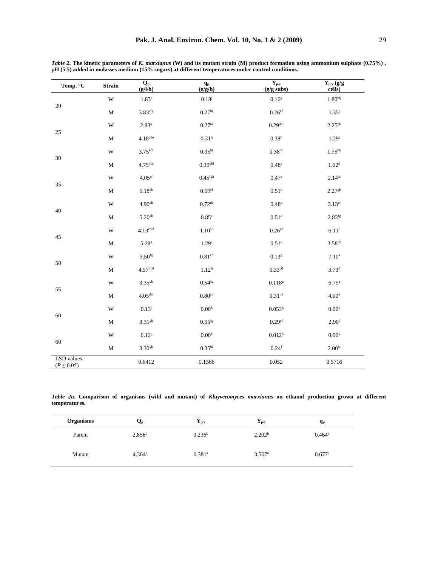| Temp. °C                            | <b>Strain</b> | $\frac{Q_p}{(g/l/h)}$ | $\frac{q_p}{(g/g/h)}$ | $\mathbf{Y}_{\mathbf{p}/\mathbf{s}}$<br>$(g/g$ subs) | $\mathbf{Y}_{p/x}\left( g/g\right)$<br>cells) |
|-------------------------------------|---------------|-----------------------|-----------------------|------------------------------------------------------|-----------------------------------------------|
|                                     | W             | $1.83^{i}$            | $0.18^{j}$            | 0.16 <sup>g</sup>                                    | 1.80 <sup>hij</sup>                           |
| $20\,$                              | $\mathbf M$   | 3.83 <sup>efg</sup>   | 0.27 <sup>hi</sup>    | $0.26$ <sup>ef</sup>                                 | $1.35^{j}$                                    |
|                                     | W             | $2.83^h$              | 0.27 <sup>hi</sup>    | 0.29 <sup>def</sup>                                  | $2.25$ <sup>gh</sup>                          |
| 25                                  | $\mathbf M$   | $4.18^{\rm cde}$      | $0.31^{ij}$           | 0.38 <sup>b</sup>                                    | $1.29^{j}$                                    |
|                                     | W             | 3.75 <sup>efg</sup>   | 0.35 <sup>hi</sup>    | $0.38^{bc}$                                          | 1.75 <sup>hij</sup>                           |
| 30                                  | $\mathbf M$   | $4.75$ <sup>abc</sup> | 0.39 <sup>ghi</sup>   | $0.48^{\rm a}$                                       | $1.62^{ij}$                                   |
|                                     | W             | $4.05^{\rm ef}$       | $0.45$ <sup>fgh</sup> | 0.47 <sup>a</sup>                                    | 2.14 <sup>hi</sup>                            |
| 35                                  | $\mathbf M$   | $5.18^{ab}$           | 0.59 <sup>ef</sup>    | $0.51$ <sup>a</sup>                                  | 2.27 <sup>gh</sup>                            |
|                                     | W             | 4.90 <sup>ab</sup>    | $0.72$ <sup>de</sup>  | $0.48^{\rm a}$                                       | $3.13$ ef                                     |
| 40                                  | $\mathbf M$   | $5.20^{\rm ab}$       | $0.85^{\circ}$        | $0.51^{\rm a}$                                       | $2.83^{fg}$                                   |
|                                     | W             | 4.13 <sup>cdef</sup>  | 1.10 <sup>ab</sup>    | $0.26$ <sup>ef</sup>                                 | 6.11 <sup>c</sup>                             |
| 45                                  | $\mathbf M$   | $5.28^{a}$            | 1.29 <sup>a</sup>     | $0.51$ <sup>a</sup>                                  | $3.58$ <sup>de</sup>                          |
|                                     | W             | $3.50$ fg             | $0.81^{\rm cd}$       | $0.13^{\rm g}$                                       | 7.10 <sup>a</sup>                             |
| 50                                  | $\mathbf M$   | 4.57 <sup>bcd</sup>   | $1.12^{b}$            | $0.33$ <sup>cd</sup>                                 | $3.73^{d}$                                    |
|                                     | W             | $3.35^{gh}$           | $0.54$ <sup>fg</sup>  | $0.118$ g                                            | 6.75 <sup>a</sup>                             |
| 55                                  | $\mathbf M$   | 4.05 <sup>def</sup>   | $0.80^{\rm cd}$       | 0.31 <sup>de</sup>                                   | 4.00 <sup>d</sup>                             |
|                                     | W             | $0.13^{j}$            | $0.00^{\rm k}$        | $0.053^{\rm h}$                                      | $0.00^{\rm k}$                                |
| 60                                  | $\mathbf M$   | 3.31 <sup>gh</sup>    | $0.55$ <sup>fg</sup>  | 0.29 <sup>ef</sup>                                   | 2.90 <sup>f</sup>                             |
|                                     | W             | $0.12^{j}$            | $0.00^{\rm k}$        | 0.012 <sup>h</sup>                                   | $0.00^{\rm k}$                                |
| $60\,$                              | $\mathbf M$   | $3.30$ gh             | 0.35 <sup>hi</sup>    | 0.24 <sup>f</sup>                                    | $2.00^{\rm hi}$                               |
| <b>LSD</b> values<br>$(P \le 0.05)$ |               | 0.6412                | 0.1566                | 0.052                                                | 0.5716                                        |

*Table 2.* **The kinetic parameters of** *K. marxianus* **(W) and its mutant strain (M) product formation using ammonium sulphate (0.75%) , pH (5.5) added in molasses medium (15% sugars) at different temperatures under control conditions.**

*Table 2a.* **Comparison of organisms (wild and mutant) of** *Kluyveromyces marxianus* **on ethanol production grown at different temperatures.** 

| <b>Organisms</b> | Qp                 | $\mathbf{Y}_{\mathbf{p}/\mathbf{s}}$ | $\mathbf{Y}_{\mathbf{p}/\mathbf{x}}$ | $q_{p}$              |
|------------------|--------------------|--------------------------------------|--------------------------------------|----------------------|
| Parent           | 2.856 <sup>b</sup> | $0.236^{\rm b}$                      | 2.202 <sup>b</sup>                   | $0.464^b$            |
| Mutant           | $4.364^{\rm a}$    | $0.381$ <sup>a</sup>                 | $3.567$ <sup>a</sup>                 | $0.677$ <sup>a</sup> |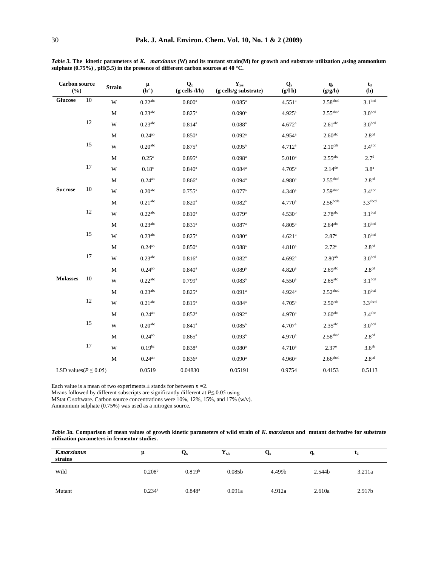| <b>Carbon</b> source<br>(%) |        | <b>Strain</b> | $\mu$<br>$(h^{-1})$   | $\mathbf{Q}_x$<br>$(g$ cells $/l/h$ ) | $\mathbf{Y}_{\mathbf{x}/\mathbf{s}}$<br>(g cells/g substrate) | $\mathbf{Q}_\mathrm{s}$<br>$(g/\mathbf{l} h)$ | $q_s$<br>(g/g/h)       | $t_d$<br>(h)        |
|-----------------------------|--------|---------------|-----------------------|---------------------------------------|---------------------------------------------------------------|-----------------------------------------------|------------------------|---------------------|
| <b>Glucose</b>              | $10\,$ | W             | $0.22^{\rm abc}$      | 0.800 <sup>a</sup>                    | $0.085^{\rm a}$                                               | 4.551 <sup>a</sup>                            | $2.58$ abcd            | 3.1 <sup>bcd</sup>  |
|                             |        | M             | $0.23$ <sup>abc</sup> | $0.825^{\rm a}$                       | $0.090$ <sup>a</sup>                                          | $4.925^{\mathrm{a}}$                          | $2.55$ <sup>abcd</sup> | 3.0 <sup>bcd</sup>  |
|                             | 12     | $\mathbf W$   | $0.23$ <sup>abc</sup> | $0.814^{a}$                           | $0.088^{a}$                                                   | 4.672 <sup>a</sup>                            | $2.61$ <sup>abc</sup>  | 3.0 <sup>bcd</sup>  |
|                             |        | M             | $0.24^{ab}$           | $0.850$ <sup>a</sup>                  | $0.092$ <sup>a</sup>                                          | $4.954$ <sup>a</sup>                          | $2.60$ <sup>abc</sup>  | 2.8 <sup>cd</sup>   |
|                             | 15     | W             | 0.20 <sup>abc</sup>   | $0.875^{\rm a}$                       | $0.095^{\rm a}$                                               | 4.712 <sup>a</sup>                            | $2.10$ <sup>cde</sup>  | 3.4 <sup>abc</sup>  |
|                             |        | M             | 0.25 <sup>a</sup>     | $0.895^{\rm a}$                       | $0.098$ <sup>a</sup>                                          | $5.010^{a}$                                   | $2.55$ <sup>abc</sup>  | 2.7 <sup>d</sup>    |
|                             | 17     | W             | 0.18 <sup>c</sup>     | $0.840$ <sup>a</sup>                  | $0.084$ <sup>a</sup>                                          | $4.705^{\rm a}$                               | $2.14^{de}$            | 3.8 <sup>a</sup>    |
|                             |        | M             | $0.24^{ab}$           | $0.866^{\rm a}$                       | 0.094a                                                        | 4.980 <sup>a</sup>                            | $2.55$ <sup>abcd</sup> | 2.8 <sup>cd</sup>   |
| <b>Sucrose</b>              | 10     | W             | 0.20 <sup>abc</sup>   | $0.755^{\rm a}$                       | $0.077$ <sup>a</sup>                                          | 4.340 <sup>a</sup>                            | $2.59$ abcd            | 3.4 <sup>abc</sup>  |
|                             |        | $\mathbf M$   | 0.21 <sup>abc</sup>   | $0.820$ <sup>a</sup>                  | $0.082^a$                                                     | 4.770 <sup>a</sup>                            | $2.56$ <sub>bcde</sub> | 3.3 <sup>abcd</sup> |
|                             | 12     | W             | $0.22$ <sup>abc</sup> | $0.810^{a}$                           | $0.079$ <sup>a</sup>                                          | 4.530 <sup>b</sup>                            | $2.78$ <sup>abc</sup>  | 3.1 <sup>bcd</sup>  |
|                             |        | M             | $0.23^{\rm abc}$      | 0.831 <sup>a</sup>                    | $0.087$ <sup>a</sup>                                          | $4.805^a$                                     | $2.64$ <sup>abc</sup>  | 3.0 <sup>bcd</sup>  |
|                             | 15     | W             | $0.23$ <sup>abc</sup> | $0.825^{\rm a}$                       | $0.080$ <sup>a</sup>                                          | 4.621 <sup>a</sup>                            | 2.87 <sup>a</sup>      | 3.0 <sup>bcd</sup>  |
|                             |        | M             | $0.24^{ab}$           | $0.850$ <sup>a</sup>                  | $0.088^{a}$                                                   | 4.810 <sup>a</sup>                            | 2.72 <sup>a</sup>      | 2.8 <sup>cd</sup>   |
|                             | 17     | W             | $0.23$ <sup>abc</sup> | $0.816^{a}$                           | $0.082^a$                                                     | 4.692 <sup>a</sup>                            | 2.80 <sup>ab</sup>     | 3.0 <sup>bcd</sup>  |
|                             |        | М             | $0.24^{ab}$           | $0.840$ <sup>a</sup>                  | $0.089$ <sup>a</sup>                                          | 4.820 <sup>a</sup>                            | $2.69$ abc             | 2.8 <sup>cd</sup>   |
| <b>Molasses</b>             | 10     | W             | $0.22$ <sup>abc</sup> | $0.799$ <sup>a</sup>                  | $0.083^{a}$                                                   | $4.550$ <sup>a</sup>                          | $2.65$ <sup>abc</sup>  | 3.1 <sup>bcd</sup>  |
|                             |        | M             | $0.23$ <sup>abc</sup> | $0.825^{\rm a}$                       | $0.091$ <sup>a</sup>                                          | 4.924a                                        | $2.52$ abcd            | 3.0 <sup>bcd</sup>  |
|                             | 12     | W             | 0.21 <sup>abc</sup>   | $0.815^{a}$                           | $0.084^{a}$                                                   | $4.705^a$                                     | $2.50$ <sup>cde</sup>  | 3.3 <sup>abcd</sup> |
|                             |        | M             | $0.24^{ab}$           | $0.852$ <sup>a</sup>                  | $0.092$ <sup>a</sup>                                          | $4.970$ <sup>a</sup>                          | $2.60$ <sup>abc</sup>  | 3.4 <sup>abc</sup>  |
|                             | 15     | W             | 0.20 <sup>abc</sup>   | $0.841$ <sup>a</sup>                  | $0.085^{\rm a}$                                               | 4.707 <sup>a</sup>                            | $2.35$ <sup>abc</sup>  | 3.0 <sub>bcd</sub>  |
|                             |        | $\mathbf M$   | $0.24^{ab}$           | $0.865^{\rm a}$                       | $0.093$ <sup>a</sup>                                          | $4.970$ <sup>a</sup>                          | $2.58$ abcd            | 2.8 <sup>cd</sup>   |
|                             | $17\,$ | W             | $0.19^{bc}$           | $0.838^{a}$                           | $0.080$ <sup>a</sup>                                          | 4.710 <sup>a</sup>                            | 2.37 <sup>e</sup>      | 3.6 <sup>ab</sup>   |
|                             |        | $\mathbf M$   | $0.24^{ab}$           | $0.836^{a}$                           | $0.090$ <sup>a</sup>                                          | 4.960 <sup>a</sup>                            | $2.66$ abcd            | 2.8 <sup>cd</sup>   |
| LSD values ( $P \le 0.05$ ) |        |               | 0.0519                | 0.04830                               | 0.05191                                                       | 0.9754                                        | 0.4153                 | 0.5113              |

*Table 3.* **The kinetic parameters of** *K. marxianus* **(W) and its mutant strain(M) for growth and substrate utilization ,using ammonium sulphate (0.75%) , pH(5.5) in the presence of different carbon sources at 40 °C.**

Each value is a mean of two experiments. $\pm$  stands for between  $n = 2$ .

Means followed by different subscripts are significantly different at *P*≤ 0.05 using

MStat C software. Carbon source concentrations were 10%, 12%, 15%, and 17% (w/v).

Ammonium sulphate (0.75%) was used as a nitrogen source.

*Table 3a.* Comparison of mean values of growth kinetic parameters of wild strain of *K*. *marxianus* and mutant derivative for substrate **utilization parameters in fermentor studies.**

| K.marxianus<br>strains | μ                    | Qx                 | ${\bf Y}_{\bf x/s}$ | $\mathbf{Q}_\mathrm{s}$ | $q_s$  | L <sub>d</sub> |
|------------------------|----------------------|--------------------|---------------------|-------------------------|--------|----------------|
| Wild                   | 0.208 <sup>b</sup>   | 0.819 <sup>b</sup> | 0.085 <sub>b</sub>  | 4.499b                  | 2.544b | 3.211a         |
| Mutant                 | $0.234$ <sup>a</sup> | $0.848^{\rm a}$    | 0.091a              | 4.912a                  | 2.610a | 2.917b         |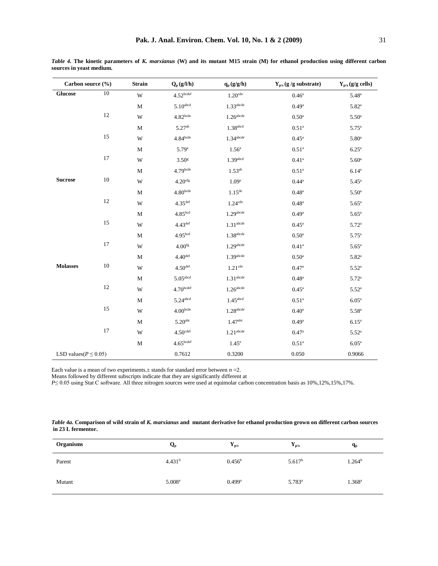| Table 4. The kinetic parameters of K. marxianus (W) and its mutant M15 strain (M) for ethanol production using different carbon |  |  |  |  |  |  |
|---------------------------------------------------------------------------------------------------------------------------------|--|--|--|--|--|--|
| sources in yeast medium.                                                                                                        |  |  |  |  |  |  |

|                             | Carbon source (%) |             | $Q_p(g/l/h)$           | $\mathbf{q}_{\mathrm{p}}\left(\mathbf{g}/\mathbf{g}/\mathbf{h}\right)$ | $Y_{p/s}$ (g /g substrate) | $Y_{p/x}(g/g$ cells) |
|-----------------------------|-------------------|-------------|------------------------|------------------------------------------------------------------------|----------------------------|----------------------|
| <b>Glucose</b>              | 10                | W           | 4.52 <sup>bcdef</sup>  | $1.20$ <sup>cde</sup>                                                  | 0.46 <sup>a</sup>          | $5.48$ <sup>a</sup>  |
|                             |                   | M           | $5.10$ abcd            | $1.33$ abcde                                                           | 0.49 <sup>a</sup>          | $5.82^{a}$           |
|                             | 12                | W           | $4.82$ bcde            | $1.26$ abcde                                                           | $0.50^{\rm a}$             | $5.50^{\circ}$       |
|                             |                   | $\mathbf M$ | $5.27^{ab}$            | $1.38$ abcd                                                            | 0.51 <sup>a</sup>          | $5.75^{\circ}$       |
|                             | 15                | W           | 4.84 <sup>bcde</sup>   | $1.34$ abcde                                                           | $0.45^{\rm a}$             | 5.80 <sup>a</sup>    |
|                             |                   | $\mathbf M$ | 5.79 <sup>a</sup>      | 1.56 <sup>a</sup>                                                      | 0.51 <sup>a</sup>          | 6.25 <sup>a</sup>    |
|                             | 17                | W           | 3.50 <sup>g</sup>      | $1.39$ abcd                                                            | $0.41^{\rm a}$             | 5.60 <sup>a</sup>    |
|                             |                   | M           | $4.79$ bcde            | $1.53^{ab}$                                                            | 0.51 <sup>a</sup>          | $6.14^{a}$           |
| <b>Sucrose</b>              | 10                | W           | 4.20 <sup>efg</sup>    | 1.09 <sup>e</sup>                                                      | $0.44^{\rm a}$             | $5.45^a$             |
|                             |                   | M           | 4.80 <sup>bcde</sup>   | $1.15^{de}$                                                            | 0.48 <sup>a</sup>          | 5.50 <sup>a</sup>    |
|                             | 12                | W           | $4.35$ <sup>def</sup>  | $1.24$ <sup>cde</sup>                                                  | 0.48 <sup>a</sup>          | 5.65 <sup>a</sup>    |
|                             |                   | M           | 4.85 <sup>bcd</sup>    | $1.29$ abcde                                                           | 0.49 <sup>a</sup>          | 5.65 <sup>a</sup>    |
|                             | 15                | W           | 4.43 <sup>def</sup>    | 1.31 <sup>abcde</sup>                                                  | $0.45^{\rm a}$             | 5.72 <sup>a</sup>    |
|                             |                   | M           | 4.95 <sup>bcd</sup>    | $1.38$ abcde                                                           | $0.50$ <sup>a</sup>        | $5.75^{\rm a}$       |
|                             | 17                | W           | $4.00$ fg              | $1.29$ abcde                                                           | $0.41^{a}$                 | 5.65 <sup>a</sup>    |
|                             |                   | M           | 4.40 <sup>def</sup>    | $1.39$ abcde                                                           | 0.50 <sup>a</sup>          | $5.82^{a}$           |
| <b>Molasses</b>             | 10                | W           | 4.50 <sup>def</sup>    | $1.21$ <sup>cde</sup>                                                  | 0.47 <sup>a</sup>          | $5.52^{a}$           |
|                             |                   | M           | $5.05$ abcd            | 1.31 <sup>abcde</sup>                                                  | 0.48 <sup>a</sup>          | 5.72 <sup>a</sup>    |
|                             | 12                | W           | 4.70 <sup>bcdef</sup>  | $1.26$ <sup>abcde</sup>                                                | $0.45^{\mathrm{a}}$        | $5.52^{a}$           |
|                             |                   | M           | $5.24$ <sup>abcd</sup> | $1.45$ <sup>abcd</sup>                                                 | 0.51 <sup>a</sup>          | 6.05 <sup>a</sup>    |
|                             | 15                | W           | $4.00^{\rm bede}$      | 1.28abcde                                                              | 0.40 <sup>a</sup>          | $5.58^{a}$           |
|                             |                   | $\mathbf M$ | 5.20 <sup>abc</sup>    | 1.47 <sup>abc</sup>                                                    | 0.49 <sup>a</sup>          | 6.15 <sup>a</sup>    |
|                             | 17                | W           | 4.50 <sup>cdef</sup>   | 1.21 <sup>abcde</sup>                                                  | 0.47 <sup>a</sup>          | $5.52^{a}$           |
|                             |                   | M           | 4.65 <sup>bcdef</sup>  | $1.45^e$                                                               | 0.51 <sup>a</sup>          | 6.05 <sup>a</sup>    |
| LSD values( $P \leq 0.05$ ) |                   |             | 0.7612                 | 0.3200                                                                 | 0.050                      | 0.9066               |

Each value is a mean of two experiments. $\pm$  stands for standard error between  $n = 2$ .<br>Means followed by different subscripts indicate that they are significantly different at<br> $P \le 0.05$  using Stat C software. All three n

| Table 4a. Comparison of wild strain of K. marxianus and mutant derivative for ethanol production grown on different carbon sources |  |  |
|------------------------------------------------------------------------------------------------------------------------------------|--|--|
| in 23 L fermentor.                                                                                                                 |  |  |

| <b>Organisms</b> | $\mathbf{Q}_{\mathbf{p}}$ | $\mathbf{Y}_{\mathbf{p}/\mathbf{s}}$ | $\mathbf{Y}_{\mathbf{p}/\mathbf{x}}$ | $\mathbf{q}_{\mathbf{p}}$ |
|------------------|---------------------------|--------------------------------------|--------------------------------------|---------------------------|
| Parent           | 4.431 <sup>b</sup>        | $0.456^{\rm b}$                      | 5.617 <sup>b</sup>                   | $1.264^{\rm b}$           |
| Mutant           | 5.008 <sup>a</sup>        | $0.499$ <sup>a</sup>                 | $5.783^a$                            | $1.368^{\rm a}$           |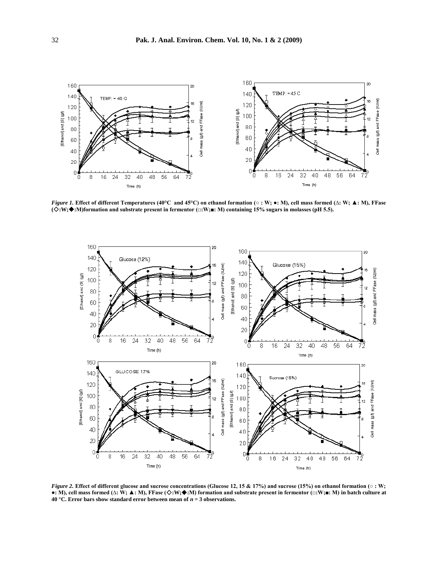

*Figure 1.* **Effect of different Temperatures (40°C and 45°C) on ethanol formation (○ : W; ●: M), cell mass formed (∆: W; ▲: M), FFase (:W;:M)formation and substrate present in fermentor (□:W;■: M) containing 15% sugars in molasses (pH 5.5).**



*Figure 2.* **Effect of different glucose and sucrose concentrations (Glucose 12, 15 & 17%) and sucrose (15%) on ethanol formation (○ : W; ●: M), cell mass formed (∆: W; ▲: M), FFase (:W;:M) formation and substrate present in fermentor (□:W;■: M) in batch culture at 40 °C. Error bars show standard error between mean of**  $n = 3$  **observations.**